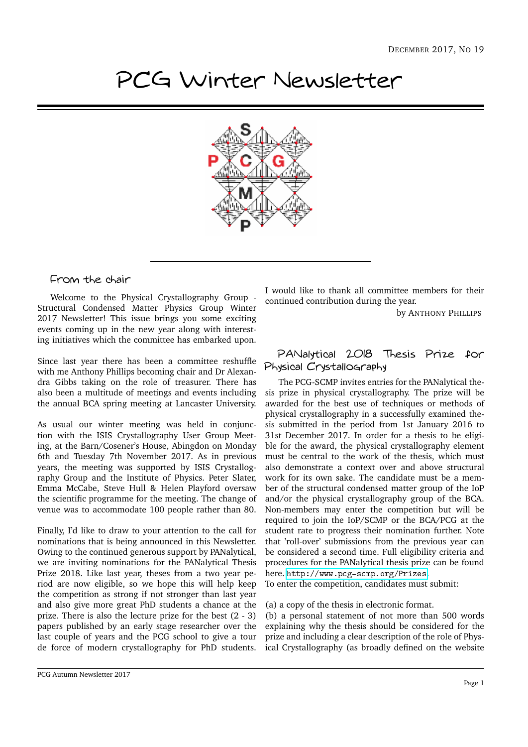# PCG Winter Newsletter



## From the chair

Welcome to the Physical Crystallography Group - Structural Condensed Matter Physics Group Winter 2017 Newsletter! This issue brings you some exciting events coming up in the new year along with interesting initiatives which the committee has embarked upon.

Since last year there has been a committee reshuffle with me Anthony Phillips becoming chair and Dr Alexandra Gibbs taking on the role of treasurer. There has also been a multitude of meetings and events including the annual BCA spring meeting at Lancaster University.

As usual our winter meeting was held in conjunction with the ISIS Crystallography User Group Meeting, at the Barn/Cosener's House, Abingdon on Monday 6th and Tuesday 7th November 2017. As in previous years, the meeting was supported by ISIS Crystallography Group and the Institute of Physics. Peter Slater, Emma McCabe, Steve Hull & Helen Playford oversaw the scientific programme for the meeting. The change of venue was to accommodate 100 people rather than 80.

Finally, I'd like to draw to your attention to the call for nominations that is being announced in this Newsletter. Owing to the continued generous support by PANalytical, we are inviting nominations for the PANalytical Thesis Prize 2018. Like last year, theses from a two year period are now eligible, so we hope this will help keep the competition as strong if not stronger than last year and also give more great PhD students a chance at the prize. There is also the lecture prize for the best (2 - 3) papers published by an early stage researcher over the last couple of years and the PCG school to give a tour de force of modern crystallography for PhD students. I would like to thank all committee members for their continued contribution during the year.

by ANTHONY PHILLIPS

## PANalytical 2018 Thesis Prize for Physical Crystallography

The PCG-SCMP invites entries for the PANalytical thesis prize in physical crystallography. The prize will be awarded for the best use of techniques or methods of physical crystallography in a successfully examined thesis submitted in the period from 1st January 2016 to 31st December 2017. In order for a thesis to be eligible for the award, the physical crystallography element must be central to the work of the thesis, which must also demonstrate a context over and above structural work for its own sake. The candidate must be a member of the structural condensed matter group of the IoP and/or the physical crystallography group of the BCA. Non-members may enter the competition but will be required to join the IoP/SCMP or the BCA/PCG at the student rate to progress their nomination further. Note that 'roll-over' submissions from the previous year can be considered a second time. Full eligibility criteria and procedures for the PANalytical thesis prize can be found here. <http://www.pcg-scmp.org/Prizes>.

To enter the competition, candidates must submit:

#### (a) a copy of the thesis in electronic format.

(b) a personal statement of not more than 500 words explaining why the thesis should be considered for the prize and including a clear description of the role of Physical Crystallography (as broadly defined on the website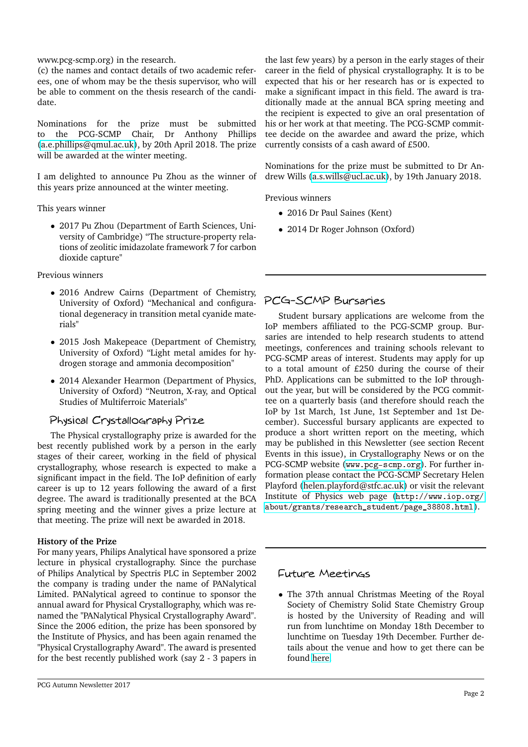www.pcg-scmp.org) in the research.

(c) the names and contact details of two academic referees, one of whom may be the thesis supervisor, who will be able to comment on the thesis research of the candidate.

Nominations for the prize must be submitted to the PCG-SCMP Chair, Dr Anthony Phillips  $(a.e.$ phillips@qmul.ac.uk), by 20th April 2018. The prize will be awarded at the winter meeting.

I am delighted to announce Pu Zhou as the winner of this years prize announced at the winter meeting.

This years winner

• 2017 Pu Zhou (Department of Earth Sciences, University of Cambridge) "The structure-property relations of zeolitic imidazolate framework 7 for carbon dioxide capture"

Previous winners

- 2016 Andrew Cairns (Department of Chemistry, University of Oxford) "Mechanical and configurational degeneracy in transition metal cyanide materials"
- 2015 Josh Makepeace (Department of Chemistry, University of Oxford) "Light metal amides for hydrogen storage and ammonia decomposition"
- 2014 Alexander Hearmon (Department of Physics, University of Oxford) "Neutron, X-ray, and Optical Studies of Multiferroic Materials"

## Physical Crystallography Prize

The Physical crystallography prize is awarded for the best recently published work by a person in the early stages of their career, working in the field of physical crystallography, whose research is expected to make a significant impact in the field. The IoP definition of early career is up to 12 years following the award of a first degree. The award is traditionally presented at the BCA spring meeting and the winner gives a prize lecture at that meeting. The prize will next be awarded in 2018.

## **History of the Prize**

For many years, Philips Analytical have sponsored a prize lecture in physical crystallography. Since the purchase of Philips Analytical by Spectris PLC in September 2002 the company is trading under the name of PANalytical Limited. PANalytical agreed to continue to sponsor the annual award for Physical Crystallography, which was renamed the "PANalytical Physical Crystallography Award". Since the 2006 edition, the prize has been sponsored by the Institute of Physics, and has been again renamed the "Physical Crystallography Award". The award is presented for the best recently published work (say 2 - 3 papers in

the last few years) by a person in the early stages of their career in the field of physical crystallography. It is to be expected that his or her research has or is expected to make a significant impact in this field. The award is traditionally made at the annual BCA spring meeting and the recipient is expected to give an oral presentation of his or her work at that meeting. The PCG-SCMP committee decide on the awardee and award the prize, which currently consists of a cash award of £500.

Nominations for the prize must be submitted to Dr Andrew Wills [\(a.s.wills@ucl.ac.uk\)](mailto:a.s.wills@ucl.ac.uk), by 19th January 2018.

Previous winners

- 2016 Dr Paul Saines (Kent)
- 2014 Dr Roger Johnson (Oxford)

# PCG-SCMP Bursaries

Student bursary applications are welcome from the IoP members affiliated to the PCG-SCMP group. Bursaries are intended to help research students to attend meetings, conferences and training schools relevant to PCG-SCMP areas of interest. Students may apply for up to a total amount of £250 during the course of their PhD. Applications can be submitted to the IoP throughout the year, but will be considered by the PCG committee on a quarterly basis (and therefore should reach the IoP by 1st March, 1st June, 1st September and 1st December). Successful bursary applicants are expected to produce a short written report on the meeting, which may be published in this Newsletter (see section Recent Events in this issue), in Crystallography News or on the PCG-SCMP website (<www.pcg-scmp.org>). For further information please contact the PCG-SCMP Secretary Helen Playford [\(helen.playford@stfc.ac.uk\)](mailto:helen.playford@stfc.ac.uk) or visit the relevant Institute of Physics web page ([http://www.iop.org/](http://www.iop.org/about/grants/research_student/page_38808.html) [about/grants/research\\_student/page\\_38808.html](http://www.iop.org/about/grants/research_student/page_38808.html)).

## Future Meetings

• The 37th annual Christmas Meeting of the Royal Society of Chemistry Solid State Chemistry Group is hosted by the University of Reading and will run from lunchtime on Monday 18th December to lunchtime on Tuesday 19th December. Further details about the venue and how to get there can be found [here.](https://sscgxmas2017.wordpress.com/travel/)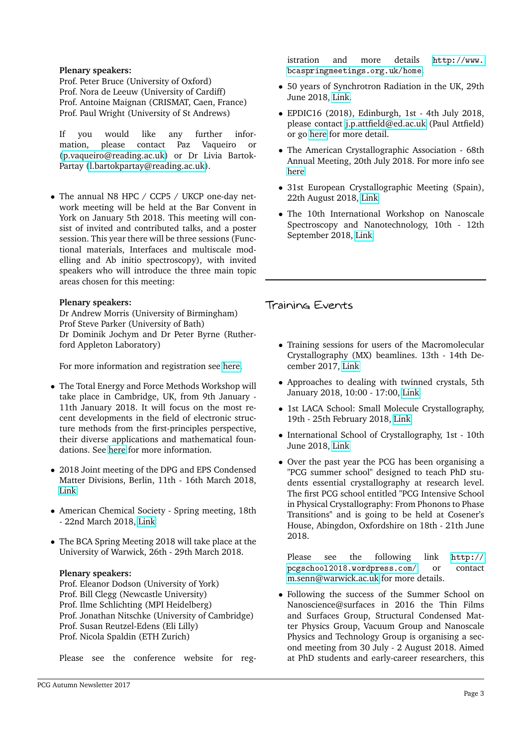#### **Plenary speakers:**

Prof. Peter Bruce (University of Oxford) Prof. Nora de Leeuw (University of Cardiff) Prof. Antoine Maignan (CRISMAT, Caen, France) Prof. Paul Wright (University of St Andrews)

If you would like any further information, please contact Paz Vaqueiro or [\(p.vaqueiro@reading.ac.uk\)](mailto:p.vaqueiro@reading.ac.uk) or Dr Livia Bartok-Partay [\(l.bartokpartay@reading.ac.uk\)](mailto:l.bartokpartay@reading.ac.uk).

• The annual N8 HPC / CCP5 / UKCP one-day network meeting will be held at the Bar Convent in York on January 5th 2018. This meeting will consist of invited and contributed talks, and a poster session. This year there will be three sessions (Functional materials, Interfaces and multiscale modelling and Ab initio spectroscopy), with invited speakers who will introduce the three main topic areas chosen for this meeting:

#### **Plenary speakers:**

Dr Andrew Morris (University of Birmingham) Prof Steve Parker (University of Bath) Dr Dominik Jochym and Dr Peter Byrne (Rutherford Appleton Laboratory)

For more information and registration see [here.](http://psi-k.net/events/workshop-new-horizons-in-atomistic-simulation/)

- The Total Energy and Force Methods Workshop will take place in Cambridge, UK, from 9th January - 11th January 2018. It will focus on the most recent developments in the field of electronic structure methods from the first-principles perspective, their diverse applications and mathematical foundations. See [here](http://psi-k.net/events/total-energy-and-force-methods-workshop/) for more information.
- 2018 Joint meeting of the DPG and EPS Condensed Matter Divisions, Berlin, 11th - 16th March 2018, [Link](http://psi-k.net/events/psi-k-gathering-in-march-2018/)
- American Chemical Society Spring meeting, 18th - 22nd March 2018, [Link](https://www.acs.org/content/acs/en/meetings/national-meeting.html)
- The BCA Spring Meeting 2018 will take place at the University of Warwick, 26th - 29th March 2018.

#### **Plenary speakers:**

Prof. Eleanor Dodson (University of York) Prof. Bill Clegg (Newcastle University) Prof. Ilme Schlichting (MPI Heidelberg) Prof. Jonathan Nitschke (University of Cambridge) Prof. Susan Reutzel-Edens (Eli Lilly) Prof. Nicola Spaldin (ETH Zurich)

Please see the conference website for reg-

istration and more details [http://www.](http://www.bcaspringmeetings.org.uk/home) [bcaspringmeetings.org.uk/home](http://www.bcaspringmeetings.org.uk/home).

- 50 years of Synchrotron Radiation in the UK, 29th June 2018, [Link.](http://www.diamond.ac.uk/Home/Events/2018/SR50UK.html)
- EPDIC16 (2018), Edinburgh, 1st 4th July 2018, please contact [j.p.attfield@ed.ac.uk](mailto:j.p.attfield@ed.ac.uk) (Paul Attfield) or go [here]( http://epdic16.efconference.co.uk/) for more detail.
- The American Crystallographic Association 68th Annual Meeting, 20th July 2018. For more info see [here](http://www.amercrystalassn.org/2018-meeting-homepage)
- 31st European Crystallographic Meeting (Spain), 22th August 2018, [Link](http://ecm31.ecanews.org)
- The 10th International Workshop on Nanoscale Spectroscopy and Nanotechnology, 10th - 12th September 2018, [Link](http://www.diamond.ac.uk/Home/Events/2018/NSS10-.html)

## Training Events

- Training sessions for users of the Macromolecular Crystallography (MX) beamlines. 13th - 14th December 2017, [Link](http://www.diamond.ac.uk/Home/Events/2017/MX-BAG-TrainingDec17.html)
- Approaches to dealing with twinned crystals, 5th January 2018, 10:00 - 17:00, [Link](https://www.eventbrite.co.uk/e/approaches-to-dealing-with-twinned-crystals-tickets-39519153853?aff=es2)
- 1st LACA School: Small Molecule Crystallography, 19th - 25th February 2018, [Link](https://lacassmcfq.wordpress.com/)
- International School of Crystallography, 1st 10th June 2018, [Link](http://crystalerice.org/2018/)
- Over the past year the PCG has been organising a "PCG summer school" designed to teach PhD students essential crystallography at research level. The first PCG school entitled "PCG Intensive School in Physical Crystallography: From Phonons to Phase Transitions" and is going to be held at Cosener's House, Abingdon, Oxfordshire on 18th - 21th June 2018.

Please see the following link [http://](http://pcgschool2018.wordpress.com/) [pcgschool2018.wordpress.com/](http://pcgschool2018.wordpress.com/) or contact [m.senn@warwick.ac.uk](mailto:m.senn@warwick.ac.uk) for more details.

• Following the success of the Summer School on Nanoscience@surfaces in 2016 the Thin Films and Surfaces Group, Structural Condensed Matter Physics Group, Vacuum Group and Nanoscale Physics and Technology Group is organising a second meeting from 30 July - 2 August 2018. Aimed at PhD students and early-career researchers, this